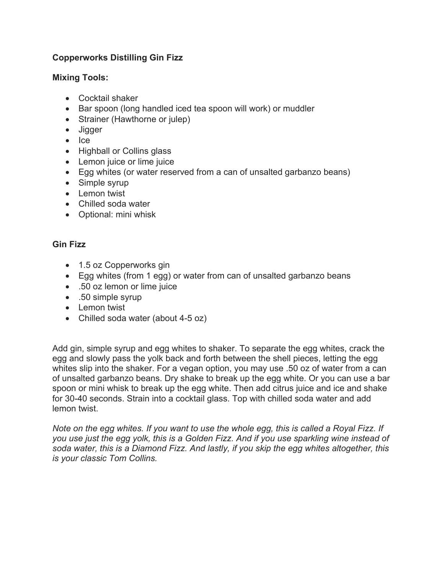# **Copperworks Distilling Gin Fizz**

## **Mixing Tools:**

- Cocktail shaker
- Bar spoon (long handled iced tea spoon will work) or muddler
- Strainer (Hawthorne or julep)
- Jigger
- Ice
- Highball or Collins glass
- Lemon juice or lime juice
- Egg whites (or water reserved from a can of unsalted garbanzo beans)
- Simple syrup
- Lemon twist
- Chilled soda water
- Optional: mini whisk

## **Gin Fizz**

- 1.5 oz Copperworks gin
- Egg whites (from 1 egg) or water from can of unsalted garbanzo beans
- .50 oz lemon or lime juice
- .50 simple syrup
- Lemon twist
- Chilled soda water (about 4-5 oz)

Add gin, simple syrup and egg whites to shaker. To separate the egg whites, crack the egg and slowly pass the yolk back and forth between the shell pieces, letting the egg whites slip into the shaker. For a vegan option, you may use .50 oz of water from a can of unsalted garbanzo beans. Dry shake to break up the egg white. Or you can use a bar spoon or mini whisk to break up the egg white. Then add citrus juice and ice and shake for 30-40 seconds. Strain into a cocktail glass. Top with chilled soda water and add lemon twist.

*Note on the egg whites. If you want to use the whole egg, this is called a Royal Fizz. If you use just the egg yolk, this is a Golden Fizz. And if you use sparkling wine instead of soda water, this is a Diamond Fizz. And lastly, if you skip the egg whites altogether, this is your classic Tom Collins.*